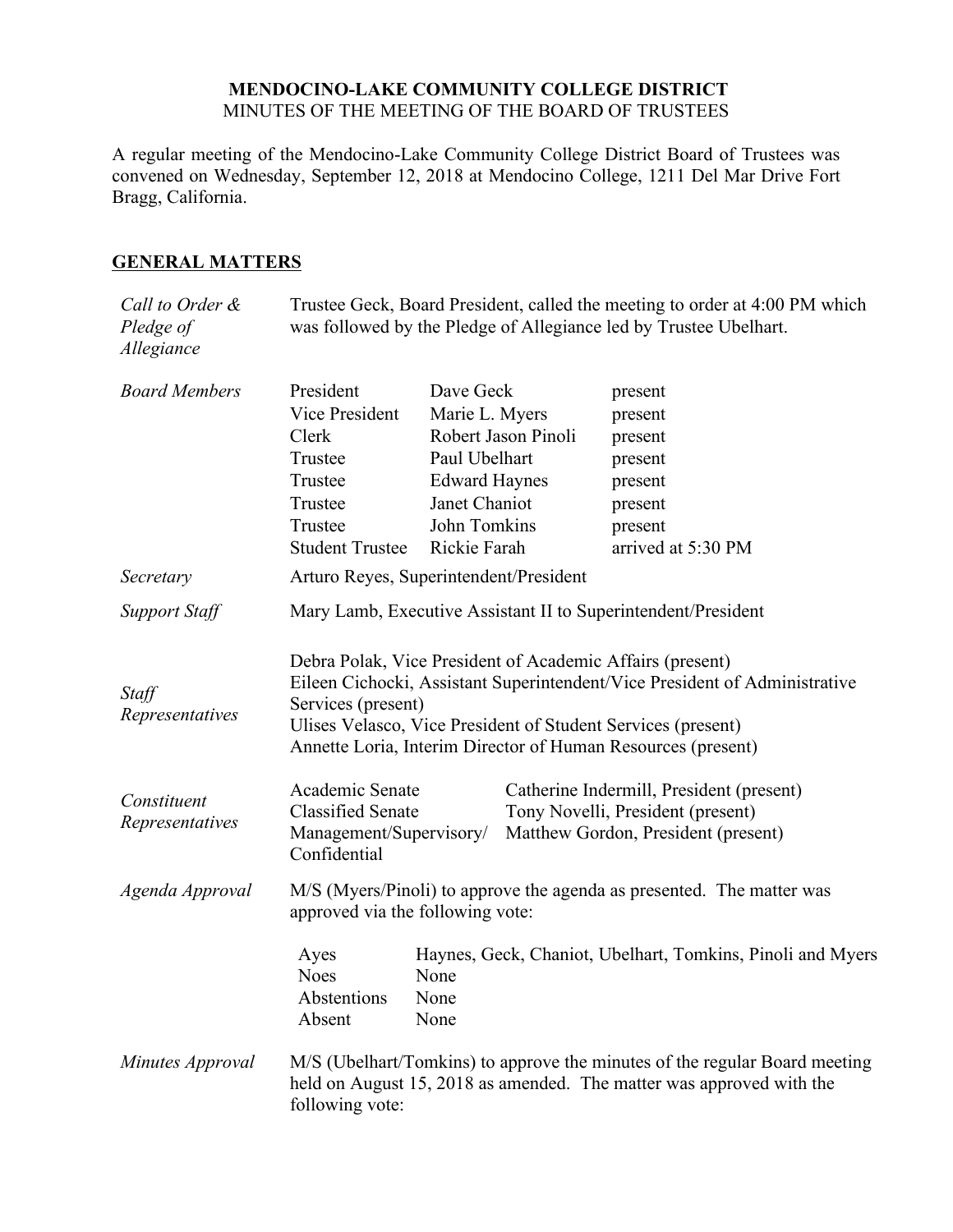### **MENDOCINO-LAKE COMMUNITY COLLEGE DISTRICT** MINUTES OF THE MEETING OF THE BOARD OF TRUSTEES

A regular meeting of the Mendocino-Lake Community College District Board of Trustees was convened on Wednesday, September 12, 2018 at Mendocino College, 1211 Del Mar Drive Fort Bragg, California.

## **GENERAL MATTERS**

| Call to Order &<br>Pledge of<br>Allegiance                 |                                                                                                                                                                                                                                                                                                                                                                                         |                                                                                                                                              |                                                                                                                      | Trustee Geck, Board President, called the meeting to order at 4:00 PM which<br>was followed by the Pledge of Allegiance led by Trustee Ubelhart. |  |
|------------------------------------------------------------|-----------------------------------------------------------------------------------------------------------------------------------------------------------------------------------------------------------------------------------------------------------------------------------------------------------------------------------------------------------------------------------------|----------------------------------------------------------------------------------------------------------------------------------------------|----------------------------------------------------------------------------------------------------------------------|--------------------------------------------------------------------------------------------------------------------------------------------------|--|
| <b>Board Members</b>                                       | President<br>Vice President<br>Clerk<br>Trustee<br>Trustee<br>Trustee<br>Trustee<br><b>Student Trustee</b>                                                                                                                                                                                                                                                                              | Dave Geck<br>Marie L. Myers<br>Robert Jason Pinoli<br>Paul Ubelhart<br><b>Edward Haynes</b><br>Janet Chaniot<br>John Tomkins<br>Rickie Farah |                                                                                                                      | present<br>present<br>present<br>present<br>present<br>present<br>present<br>arrived at 5:30 PM                                                  |  |
| Secretary                                                  | Arturo Reyes, Superintendent/President                                                                                                                                                                                                                                                                                                                                                  |                                                                                                                                              |                                                                                                                      |                                                                                                                                                  |  |
| Support Staff                                              | Mary Lamb, Executive Assistant II to Superintendent/President                                                                                                                                                                                                                                                                                                                           |                                                                                                                                              |                                                                                                                      |                                                                                                                                                  |  |
| Staff<br>Representatives<br>Constituent<br>Representatives | Debra Polak, Vice President of Academic Affairs (present)<br>Eileen Cichocki, Assistant Superintendent/Vice President of Administrative<br>Services (present)<br>Ulises Velasco, Vice President of Student Services (present)<br>Annette Loria, Interim Director of Human Resources (present)<br>Academic Senate<br><b>Classified Senate</b><br>Management/Supervisory/<br>Confidential |                                                                                                                                              | Catherine Indermill, President (present)<br>Tony Novelli, President (present)<br>Matthew Gordon, President (present) |                                                                                                                                                  |  |
| Agenda Approval                                            | M/S (Myers/Pinoli) to approve the agenda as presented. The matter was<br>approved via the following vote:                                                                                                                                                                                                                                                                               |                                                                                                                                              |                                                                                                                      |                                                                                                                                                  |  |
|                                                            | Ayes<br><b>Noes</b><br>Abstentions<br>Absent                                                                                                                                                                                                                                                                                                                                            | None<br>None<br>None                                                                                                                         |                                                                                                                      | Haynes, Geck, Chaniot, Ubelhart, Tomkins, Pinoli and Myers                                                                                       |  |
| Minutes Approval                                           | M/S (Ubelhart/Tomkins) to approve the minutes of the regular Board meeting<br>held on August 15, 2018 as amended. The matter was approved with the<br>following vote:                                                                                                                                                                                                                   |                                                                                                                                              |                                                                                                                      |                                                                                                                                                  |  |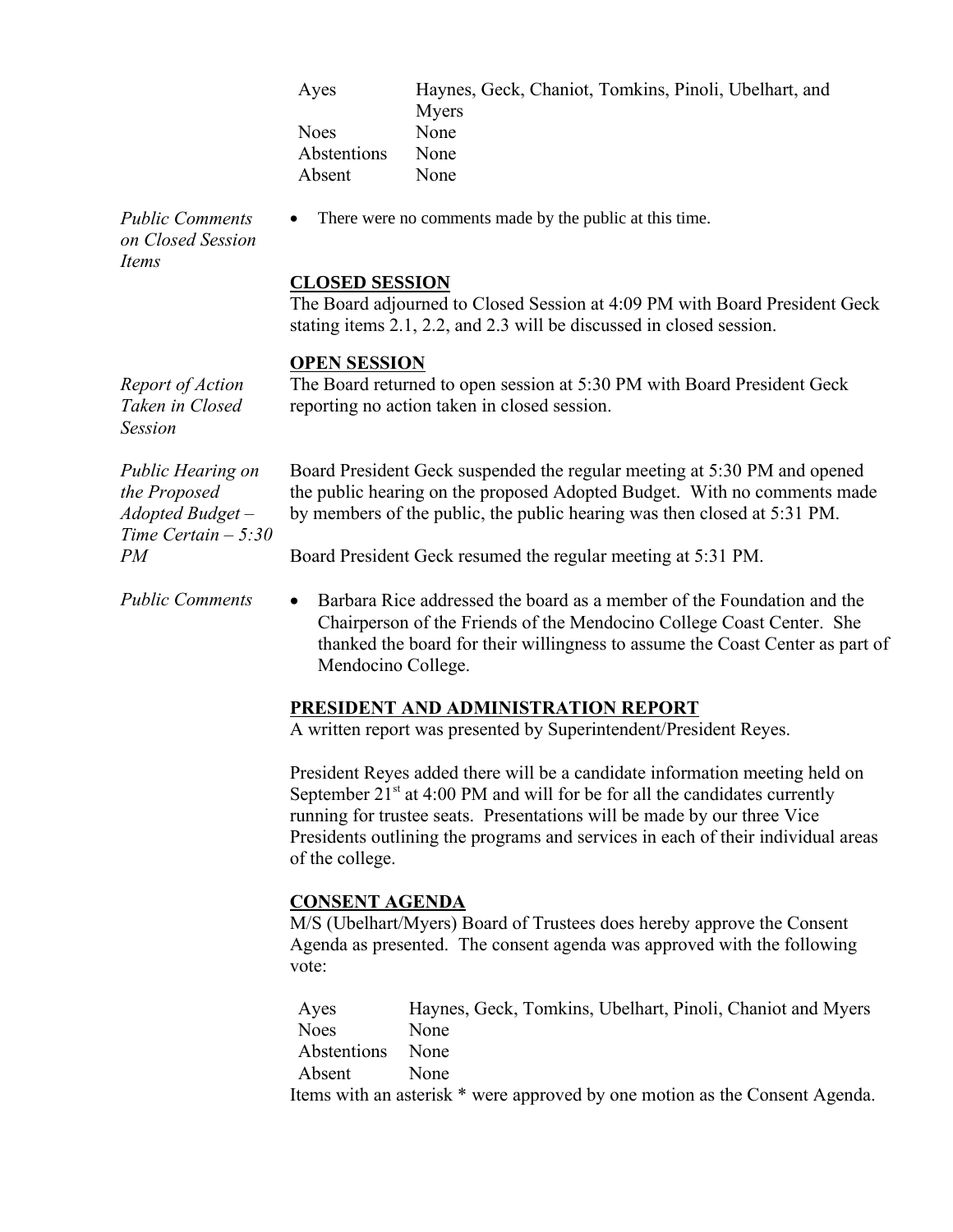| Ayes        | Haynes, Geck, Chaniot, Tomkins, Pinoli, Ubelhart, and |
|-------------|-------------------------------------------------------|
|             | Myers                                                 |
| <b>Noes</b> | None                                                  |
| Abstentions | None                                                  |
| Absent      | None                                                  |
|             |                                                       |

There were no comments made by the public at this time.

*Public Comments on Closed Session Items*

*Report of Action Taken in Closed* 

*Session*

#### **CLOSED SESSION**

The Board adjourned to Closed Session at 4:09 PM with Board President Geck stating items 2.1, 2.2, and 2.3 will be discussed in closed session.

#### **OPEN SESSION**

The Board returned to open session at 5:30 PM with Board President Geck reporting no action taken in closed session.

*Public Hearing on the Proposed Adopted Budget – Time Certain – 5:30 PM*

Board President Geck suspended the regular meeting at 5:30 PM and opened the public hearing on the proposed Adopted Budget. With no comments made by members of the public, the public hearing was then closed at 5:31 PM.

Board President Geck resumed the regular meeting at 5:31 PM.

*Public Comments* • Barbara Rice addressed the board as a member of the Foundation and the Chairperson of the Friends of the Mendocino College Coast Center. She thanked the board for their willingness to assume the Coast Center as part of Mendocino College.

### **PRESIDENT AND ADMINISTRATION REPORT**

A written report was presented by Superintendent/President Reyes.

President Reyes added there will be a candidate information meeting held on September  $21<sup>st</sup>$  at 4:00 PM and will for be for all the candidates currently running for trustee seats. Presentations will be made by our three Vice Presidents outlining the programs and services in each of their individual areas of the college.

### **CONSENT AGENDA**

M/S (Ubelhart/Myers) Board of Trustees does hereby approve the Consent Agenda as presented. The consent agenda was approved with the following vote:

| Ayes             | Haynes, Geck, Tomkins, Ubelhart, Pinoli, Chaniot and Myers                                                                                                                                                                                                                                                          |
|------------------|---------------------------------------------------------------------------------------------------------------------------------------------------------------------------------------------------------------------------------------------------------------------------------------------------------------------|
| <b>Noes</b>      | <b>None</b>                                                                                                                                                                                                                                                                                                         |
| Abstentions None |                                                                                                                                                                                                                                                                                                                     |
| Absent           | <b>None</b>                                                                                                                                                                                                                                                                                                         |
|                  | $\mathbf{11}$ $\mathbf{12}$ $\mathbf{13}$ $\mathbf{14}$ $\mathbf{15}$ $\mathbf{16}$ $\mathbf{17}$ $\mathbf{18}$ $\mathbf{19}$ $\mathbf{19}$ $\mathbf{19}$ $\mathbf{19}$ $\mathbf{19}$ $\mathbf{19}$ $\mathbf{19}$ $\mathbf{19}$ $\mathbf{19}$ $\mathbf{19}$ $\mathbf{19}$ $\mathbf{19}$ $\mathbf{19}$ $\mathbf{19}$ |

Items with an asterisk \* were approved by one motion as the Consent Agenda.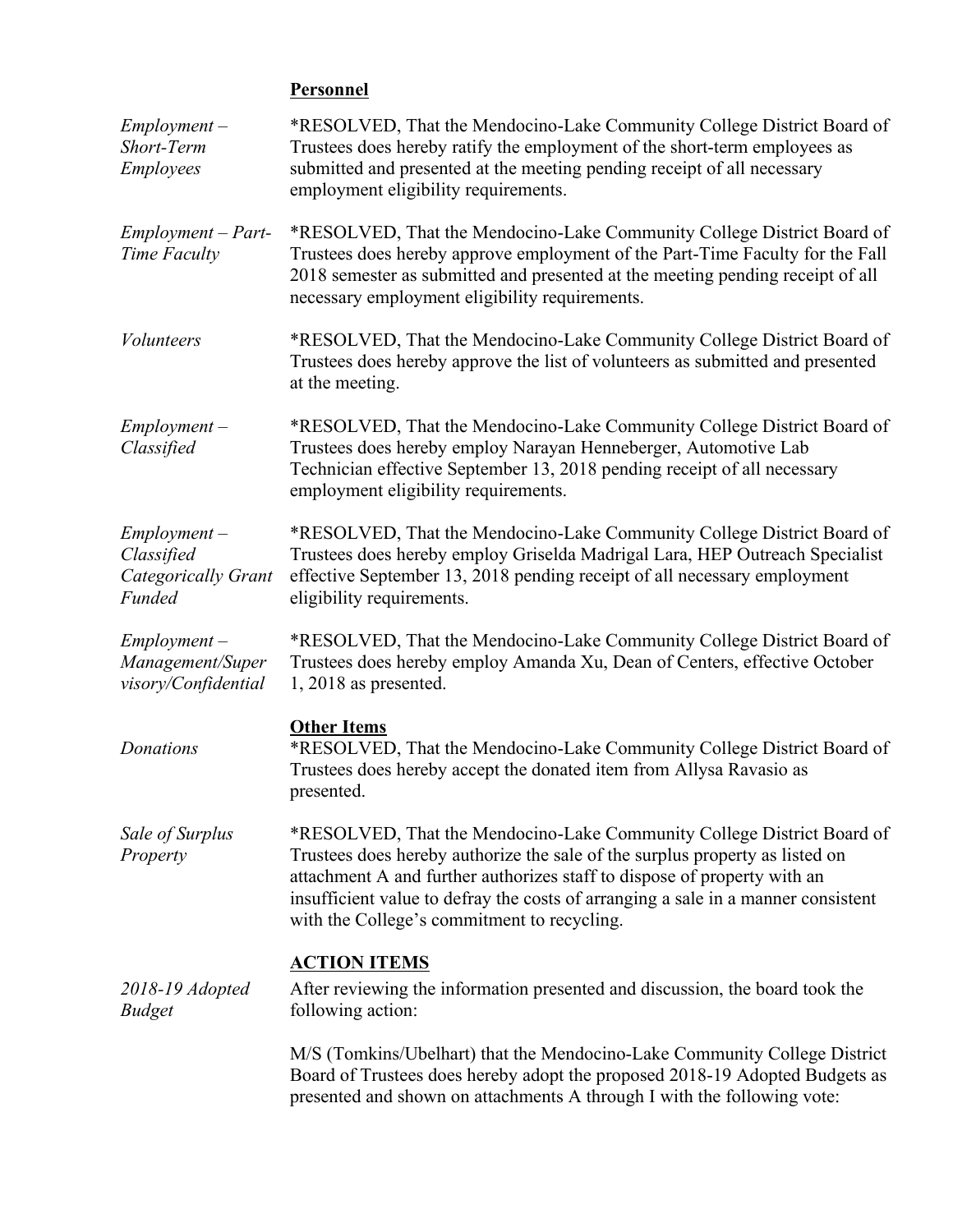# **Personnel**

| $Employment -$<br>Short-Term<br><b>Employees</b>              | *RESOLVED, That the Mendocino-Lake Community College District Board of<br>Trustees does hereby ratify the employment of the short-term employees as<br>submitted and presented at the meeting pending receipt of all necessary<br>employment eligibility requirements.                                                                                                 |
|---------------------------------------------------------------|------------------------------------------------------------------------------------------------------------------------------------------------------------------------------------------------------------------------------------------------------------------------------------------------------------------------------------------------------------------------|
| $Employment - Part-$<br>Time Faculty                          | *RESOLVED, That the Mendocino-Lake Community College District Board of<br>Trustees does hereby approve employment of the Part-Time Faculty for the Fall<br>2018 semester as submitted and presented at the meeting pending receipt of all<br>necessary employment eligibility requirements.                                                                            |
| <b>Volunteers</b>                                             | *RESOLVED, That the Mendocino-Lake Community College District Board of<br>Trustees does hereby approve the list of volunteers as submitted and presented<br>at the meeting.                                                                                                                                                                                            |
| $Employment -$<br>Classified                                  | *RESOLVED, That the Mendocino-Lake Community College District Board of<br>Trustees does hereby employ Narayan Henneberger, Automotive Lab<br>Technician effective September 13, 2018 pending receipt of all necessary<br>employment eligibility requirements.                                                                                                          |
| $Employment -$<br>Classified<br>Categorically Grant<br>Funded | *RESOLVED, That the Mendocino-Lake Community College District Board of<br>Trustees does hereby employ Griselda Madrigal Lara, HEP Outreach Specialist<br>effective September 13, 2018 pending receipt of all necessary employment<br>eligibility requirements.                                                                                                         |
| $Employment -$<br>Management/Super<br>visory/Confidential     | *RESOLVED, That the Mendocino-Lake Community College District Board of<br>Trustees does hereby employ Amanda Xu, Dean of Centers, effective October<br>$1,2018$ as presented.                                                                                                                                                                                          |
| Donations                                                     | <b>Other Items</b><br>*RESOLVED, That the Mendocino-Lake Community College District Board of<br>Trustees does hereby accept the donated item from Allysa Ravasio as<br>presented.                                                                                                                                                                                      |
| Sale of Surplus<br>Property                                   | *RESOLVED, That the Mendocino-Lake Community College District Board of<br>Trustees does hereby authorize the sale of the surplus property as listed on<br>attachment A and further authorizes staff to dispose of property with an<br>insufficient value to defray the costs of arranging a sale in a manner consistent<br>with the College's commitment to recycling. |
| 2018-19 Adopted<br><b>Budget</b>                              | <b>ACTION ITEMS</b><br>After reviewing the information presented and discussion, the board took the<br>following action:                                                                                                                                                                                                                                               |
|                                                               | M/S (Tomkins/Ubelhart) that the Mendocino-Lake Community College District<br>Board of Trustees does hereby adopt the proposed 2018-19 Adopted Budgets as<br>presented and shown on attachments A through I with the following vote:                                                                                                                                    |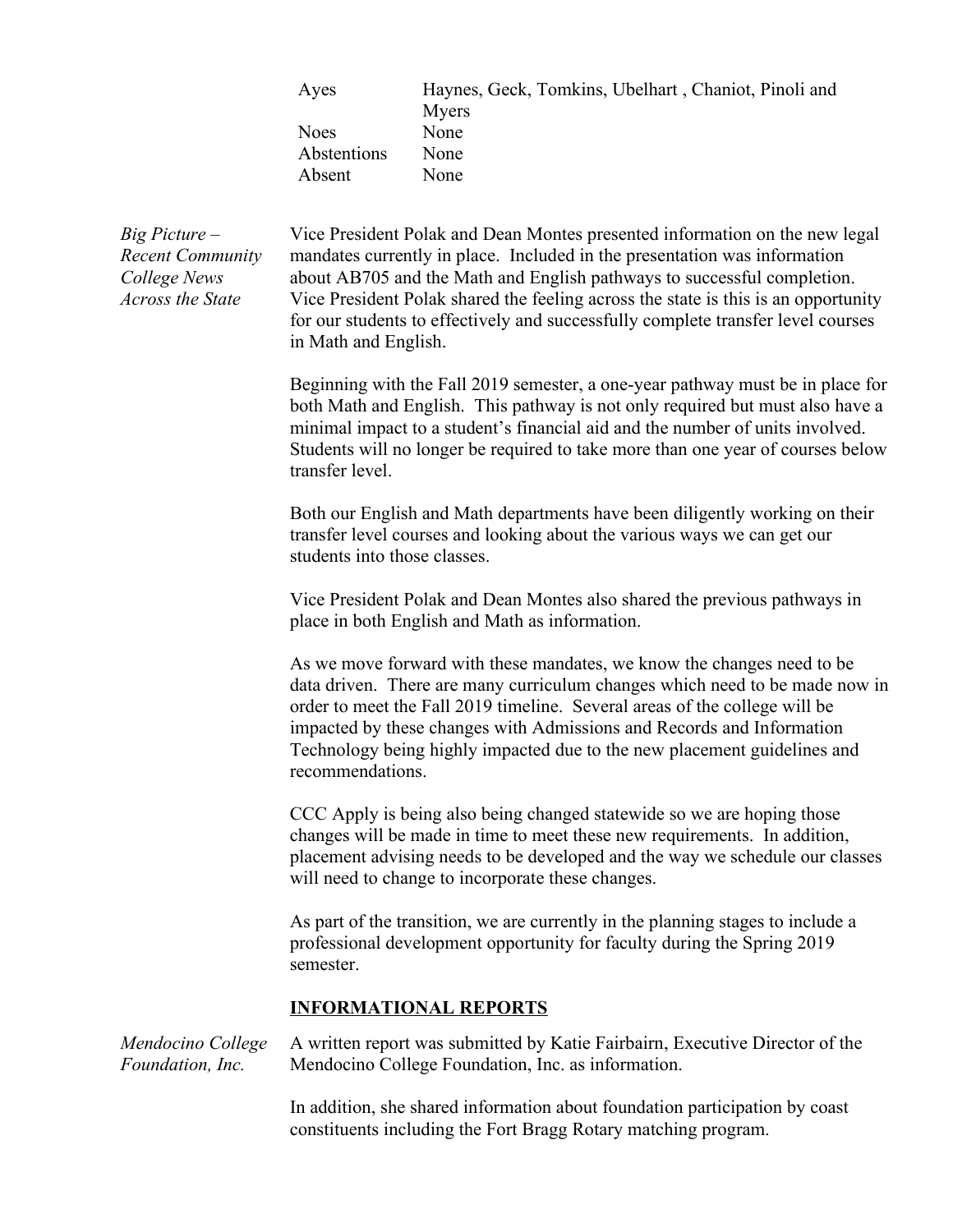| Ayes        | Haynes, Geck, Tomkins, Ubelhart, Chaniot, Pinoli and |
|-------------|------------------------------------------------------|
|             | Myers                                                |
| <b>Noes</b> | None                                                 |
| Abstentions | None                                                 |
| Absent      | None                                                 |

*Big Picture – Recent Community College News Across the State*

Vice President Polak and Dean Montes presented information on the new legal mandates currently in place. Included in the presentation was information about AB705 and the Math and English pathways to successful completion. Vice President Polak shared the feeling across the state is this is an opportunity for our students to effectively and successfully complete transfer level courses in Math and English.

Beginning with the Fall 2019 semester, a one-year pathway must be in place for both Math and English. This pathway is not only required but must also have a minimal impact to a student's financial aid and the number of units involved. Students will no longer be required to take more than one year of courses below transfer level.

Both our English and Math departments have been diligently working on their transfer level courses and looking about the various ways we can get our students into those classes.

Vice President Polak and Dean Montes also shared the previous pathways in place in both English and Math as information.

As we move forward with these mandates, we know the changes need to be data driven. There are many curriculum changes which need to be made now in order to meet the Fall 2019 timeline. Several areas of the college will be impacted by these changes with Admissions and Records and Information Technology being highly impacted due to the new placement guidelines and recommendations.

CCC Apply is being also being changed statewide so we are hoping those changes will be made in time to meet these new requirements. In addition, placement advising needs to be developed and the way we schedule our classes will need to change to incorporate these changes.

As part of the transition, we are currently in the planning stages to include a professional development opportunity for faculty during the Spring 2019 semester.

## **INFORMATIONAL REPORTS**

*Mendocino College Foundation, Inc.* A written report was submitted by Katie Fairbairn, Executive Director of the Mendocino College Foundation, Inc. as information.

> In addition, she shared information about foundation participation by coast constituents including the Fort Bragg Rotary matching program.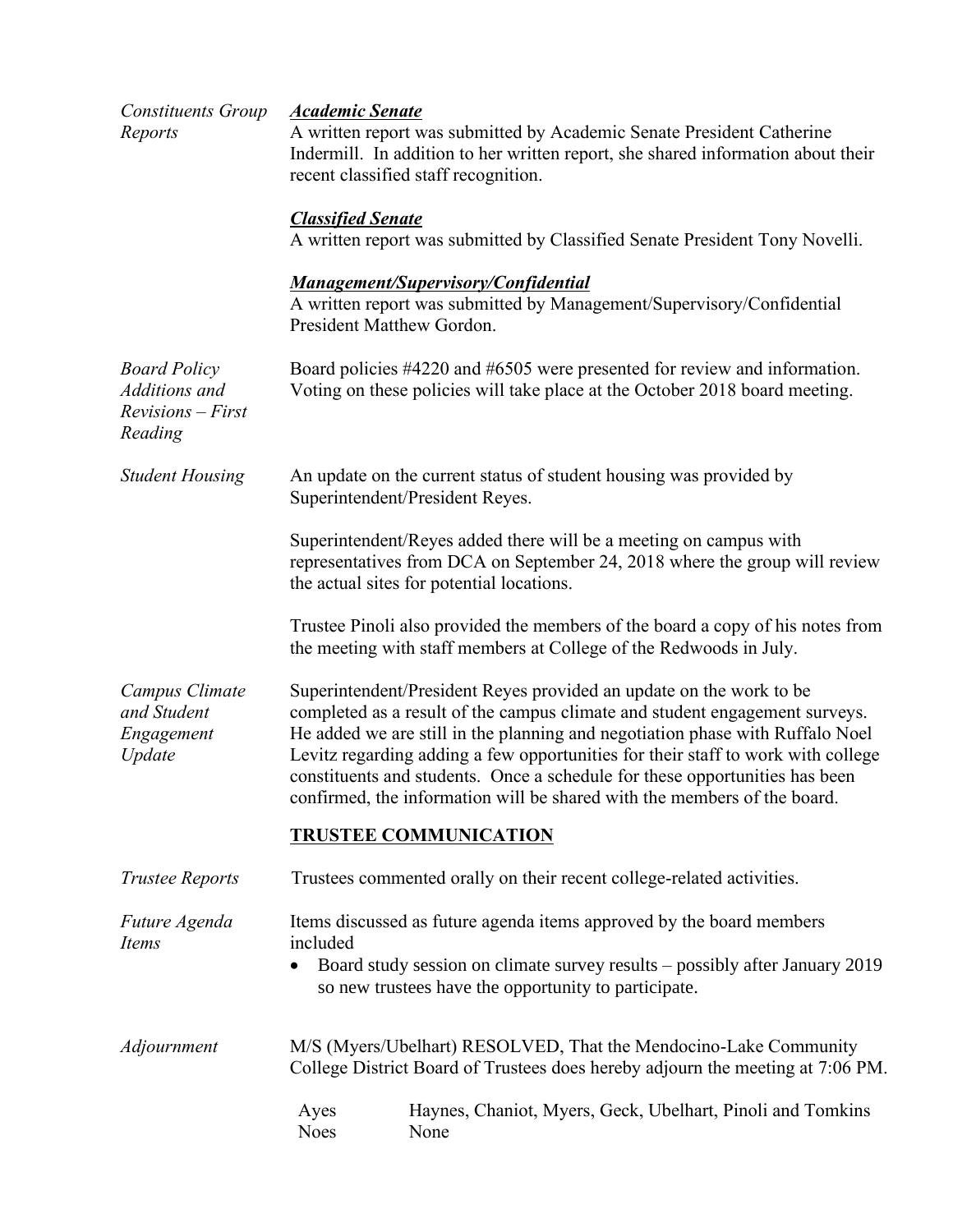| <b>Constituents Group</b><br>Reports                                   | <b>Academic Senate</b><br>A written report was submitted by Academic Senate President Catherine<br>Indermill. In addition to her written report, she shared information about their<br>recent classified staff recognition.                                                                                                                                                                                                                                                        |  |  |
|------------------------------------------------------------------------|------------------------------------------------------------------------------------------------------------------------------------------------------------------------------------------------------------------------------------------------------------------------------------------------------------------------------------------------------------------------------------------------------------------------------------------------------------------------------------|--|--|
|                                                                        | <b>Classified Senate</b><br>A written report was submitted by Classified Senate President Tony Novelli.                                                                                                                                                                                                                                                                                                                                                                            |  |  |
|                                                                        | <b>Management/Supervisory/Confidential</b><br>A written report was submitted by Management/Supervisory/Confidential<br>President Matthew Gordon.                                                                                                                                                                                                                                                                                                                                   |  |  |
| <b>Board Policy</b><br>Additions and<br>$Revisions - First$<br>Reading | Board policies #4220 and #6505 were presented for review and information.<br>Voting on these policies will take place at the October 2018 board meeting.                                                                                                                                                                                                                                                                                                                           |  |  |
| <b>Student Housing</b>                                                 | An update on the current status of student housing was provided by<br>Superintendent/President Reyes.                                                                                                                                                                                                                                                                                                                                                                              |  |  |
|                                                                        | Superintendent/Reyes added there will be a meeting on campus with<br>representatives from DCA on September 24, 2018 where the group will review<br>the actual sites for potential locations.                                                                                                                                                                                                                                                                                       |  |  |
|                                                                        | Trustee Pinoli also provided the members of the board a copy of his notes from<br>the meeting with staff members at College of the Redwoods in July.                                                                                                                                                                                                                                                                                                                               |  |  |
| Campus Climate<br>and Student<br>Engagement<br>Update                  | Superintendent/President Reyes provided an update on the work to be<br>completed as a result of the campus climate and student engagement surveys.<br>He added we are still in the planning and negotiation phase with Ruffalo Noel<br>Levitz regarding adding a few opportunities for their staff to work with college<br>constituents and students. Once a schedule for these opportunities has been<br>confirmed, the information will be shared with the members of the board. |  |  |
|                                                                        | <b>TRUSTEE COMMUNICATION</b>                                                                                                                                                                                                                                                                                                                                                                                                                                                       |  |  |
| <b>Trustee Reports</b>                                                 | Trustees commented orally on their recent college-related activities.                                                                                                                                                                                                                                                                                                                                                                                                              |  |  |
| Future Agenda<br>Items                                                 | Items discussed as future agenda items approved by the board members<br>included<br>Board study session on climate survey results – possibly after January 2019<br>٠<br>so new trustees have the opportunity to participate.                                                                                                                                                                                                                                                       |  |  |
| Adjournment                                                            | M/S (Myers/Ubelhart) RESOLVED, That the Mendocino-Lake Community<br>College District Board of Trustees does hereby adjourn the meeting at 7:06 PM.                                                                                                                                                                                                                                                                                                                                 |  |  |
|                                                                        | Haynes, Chaniot, Myers, Geck, Ubelhart, Pinoli and Tomkins<br>Ayes<br><b>Noes</b><br>None                                                                                                                                                                                                                                                                                                                                                                                          |  |  |